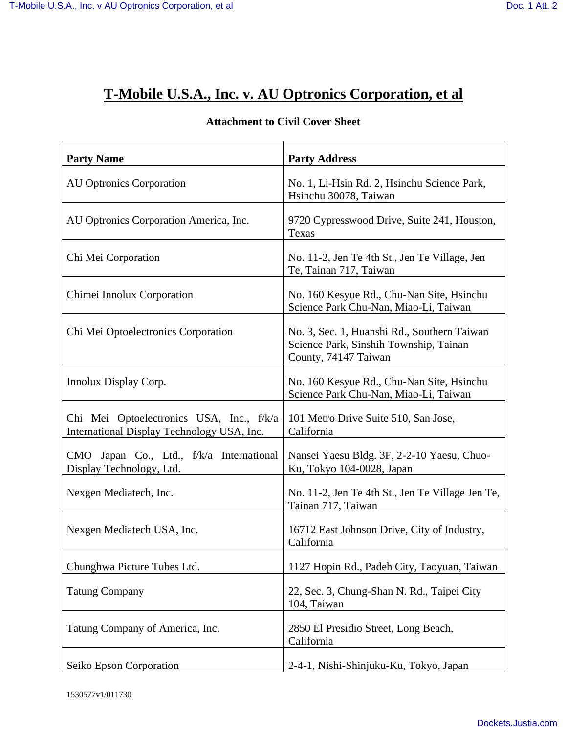## **T-Mobile U.S.A., Inc. v. AU Optronics Corporation, et al**

| <b>Party Name</b>                                                                      | <b>Party Address</b>                                                                                          |
|----------------------------------------------------------------------------------------|---------------------------------------------------------------------------------------------------------------|
| <b>AU Optronics Corporation</b>                                                        | No. 1, Li-Hsin Rd. 2, Hsinchu Science Park,<br>Hsinchu 30078, Taiwan                                          |
| AU Optronics Corporation America, Inc.                                                 | 9720 Cypresswood Drive, Suite 241, Houston,<br>Texas                                                          |
| Chi Mei Corporation                                                                    | No. 11-2, Jen Te 4th St., Jen Te Village, Jen<br>Te, Tainan 717, Taiwan                                       |
| Chimei Innolux Corporation                                                             | No. 160 Kesyue Rd., Chu-Nan Site, Hsinchu<br>Science Park Chu-Nan, Miao-Li, Taiwan                            |
| Chi Mei Optoelectronics Corporation                                                    | No. 3, Sec. 1, Huanshi Rd., Southern Taiwan<br>Science Park, Sinshih Township, Tainan<br>County, 74147 Taiwan |
| Innolux Display Corp.                                                                  | No. 160 Kesyue Rd., Chu-Nan Site, Hsinchu<br>Science Park Chu-Nan, Miao-Li, Taiwan                            |
| Chi Mei Optoelectronics USA, Inc., f/k/a<br>International Display Technology USA, Inc. | 101 Metro Drive Suite 510, San Jose,<br>California                                                            |
| CMO Japan Co., Ltd., f/k/a International<br>Display Technology, Ltd.                   | Nansei Yaesu Bldg. 3F, 2-2-10 Yaesu, Chuo-<br>Ku, Tokyo 104-0028, Japan                                       |
| Nexgen Mediatech, Inc.                                                                 | No. 11-2, Jen Te 4th St., Jen Te Village Jen Te,<br>Tainan 717, Taiwan                                        |
| Nexgen Mediatech USA, Inc.                                                             | 16712 East Johnson Drive, City of Industry,<br>California                                                     |
| Chunghwa Picture Tubes Ltd.                                                            | 1127 Hopin Rd., Padeh City, Taoyuan, Taiwan                                                                   |
| <b>Tatung Company</b>                                                                  | 22, Sec. 3, Chung-Shan N. Rd., Taipei City<br>104, Taiwan                                                     |
| Tatung Company of America, Inc.                                                        | 2850 El Presidio Street, Long Beach,<br>California                                                            |
| Seiko Epson Corporation                                                                | 2-4-1, Nishi-Shinjuku-Ku, Tokyo, Japan                                                                        |

## **Attachment to Civil Cover Sheet**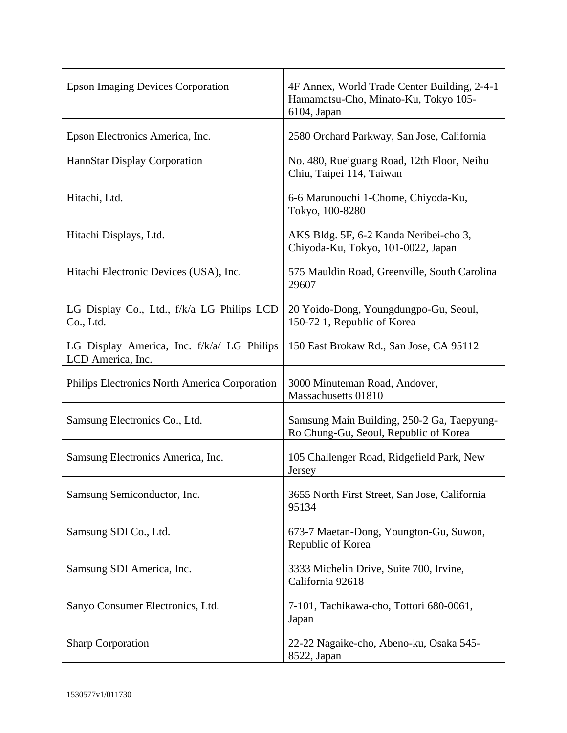| <b>Epson Imaging Devices Corporation</b>                        | 4F Annex, World Trade Center Building, 2-4-1<br>Hamamatsu-Cho, Minato-Ku, Tokyo 105-<br>6104, Japan |
|-----------------------------------------------------------------|-----------------------------------------------------------------------------------------------------|
| Epson Electronics America, Inc.                                 | 2580 Orchard Parkway, San Jose, California                                                          |
| HannStar Display Corporation                                    | No. 480, Rueiguang Road, 12th Floor, Neihu<br>Chiu, Taipei 114, Taiwan                              |
| Hitachi, Ltd.                                                   | 6-6 Marunouchi 1-Chome, Chiyoda-Ku,<br>Tokyo, 100-8280                                              |
| Hitachi Displays, Ltd.                                          | AKS Bldg. 5F, 6-2 Kanda Neribei-cho 3,<br>Chiyoda-Ku, Tokyo, 101-0022, Japan                        |
| Hitachi Electronic Devices (USA), Inc.                          | 575 Mauldin Road, Greenville, South Carolina<br>29607                                               |
| LG Display Co., Ltd., f/k/a LG Philips LCD<br>Co., Ltd.         | 20 Yoido-Dong, Youngdungpo-Gu, Seoul,<br>150-72 1, Republic of Korea                                |
| LG Display America, Inc. f/k/a/ LG Philips<br>LCD America, Inc. | 150 East Brokaw Rd., San Jose, CA 95112                                                             |
| Philips Electronics North America Corporation                   | 3000 Minuteman Road, Andover,<br>Massachusetts 01810                                                |
| Samsung Electronics Co., Ltd.                                   | Samsung Main Building, 250-2 Ga, Taepyung-<br>Ro Chung-Gu, Seoul, Republic of Korea                 |
| Samsung Electronics America, Inc.                               | 105 Challenger Road, Ridgefield Park, New<br>Jersey                                                 |
| Samsung Semiconductor, Inc.                                     | 3655 North First Street, San Jose, California<br>95134                                              |
| Samsung SDI Co., Ltd.                                           | 673-7 Maetan-Dong, Youngton-Gu, Suwon,<br>Republic of Korea                                         |
| Samsung SDI America, Inc.                                       | 3333 Michelin Drive, Suite 700, Irvine,<br>California 92618                                         |
| Sanyo Consumer Electronics, Ltd.                                | 7-101, Tachikawa-cho, Tottori 680-0061,<br>Japan                                                    |
| <b>Sharp Corporation</b>                                        | 22-22 Nagaike-cho, Abeno-ku, Osaka 545-<br>8522, Japan                                              |